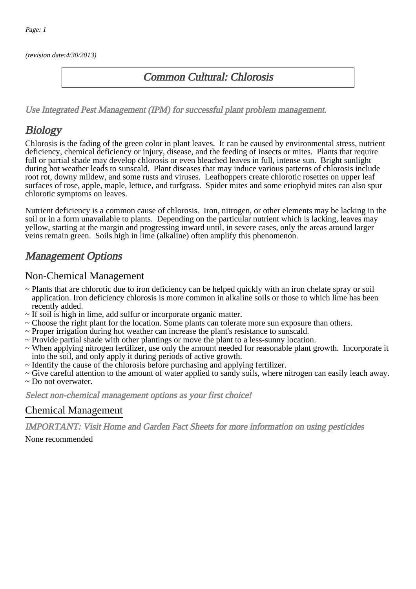(revision date:4/30/2013)

### Common Cultural: Chlorosis

[Use Integrated Pest Management \(IPM\) for successful plant problem management.](http://pep.wsu.edu/Home_Garden/H_G_Pesticide_info/urban_Integrated_Pest_Managmen/)

## **Biology**

Chlorosis is the fading of the green color in plant leaves. It can be caused by environmental stress, nutrient deficiency, chemical deficiency or injury, disease, and the feeding of insects or mites. Plants that require full or partial shade may develop chlorosis or even bleached leaves in full, intense sun. Bright sunlight during hot weather leads to sunscald. Plant diseases that may induce various patterns of chlorosis include root rot, downy mildew, and some rusts and viruses. Leafhoppers create chlorotic rosettes on upper leaf surfaces of rose, apple, maple, lettuce, and turfgrass. Spider mites and some eriophyid mites can also spur chlorotic symptoms on leaves.

Nutrient deficiency is a common cause of chlorosis. Iron, nitrogen, or other elements may be lacking in the soil or in a form unavailable to plants. Depending on the particular nutrient which is lacking, leaves may yellow, starting at the margin and progressing inward until, in severe cases, only the areas around larger veins remain green. Soils high in lime (alkaline) often amplify this phenomenon.

## Management Options

#### Non-Chemical Management

- ~ Plants that are chlorotic due to iron deficiency can be helped quickly with an iron chelate spray or soil application. Iron deficiency chlorosis is more common in alkaline soils or those to which lime has been recently added.
- ~ If soil is high in lime, add sulfur or incorporate organic matter.
- ~ Choose the right plant for the location. Some plants can tolerate more sun exposure than others.
- ~ Proper irrigation during hot weather can increase the plant's resistance to sunscald.
- ~ Provide partial shade with other plantings or move the plant to a less-sunny location.
- ~ When applying nitrogen fertilizer, use only the amount needed for reasonable plant growth. Incorporate it into the soil, and only apply it during periods of active growth.
- ~ Identify the cause of the chlorosis before purchasing and applying fertilizer.
- ~ Give careful attention to the amount of water applied to sandy soils, where nitrogen can easily leach away. ~ Do not overwater.

Select non-chemical management options as your first choice!

#### Chemical Management

IMPORTANT: [Visit Home and Garden Fact Sheets for more information on using pesticides](http://pep.wsu.edu/Home_Garden/H_G_Pesticide_info/)

None recommended